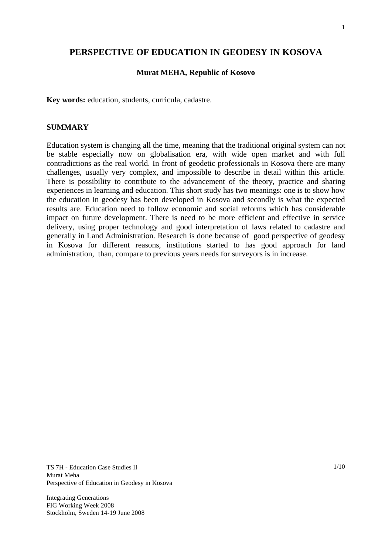## **PERSPECTIVE OF EDUCATION IN GEODESY IN KOSOVA**

#### **Murat MEHA, Republic of Kosovo**

**Key words:** education, students, curricula, cadastre.

#### **SUMMARY**

Education system is changing all the time, meaning that the traditional original system can not be stable especially now on globalisation era, with wide open market and with full contradictions as the real world. In front of geodetic professionals in Kosova there are many challenges, usually very complex, and impossible to describe in detail within this article. There is possibility to contribute to the advancement of the theory, practice and sharing experiences in learning and education. This short study has two meanings: one is to show how the education in geodesy has been developed in Kosova and secondly is what the expected results are. Education need to follow economic and social reforms which has considerable impact on future development. There is need to be more efficient and effective in service delivery, using proper technology and good interpretation of laws related to cadastre and generally in Land Administration. Research is done because of good perspective of geodesy in Kosova for different reasons, institutions started to has good approach for land administration, than, compare to previous years needs for surveyors is in increase.

Integrating Generations FIG Working Week 2008 Stockholm, Sweden 14-19 June 2008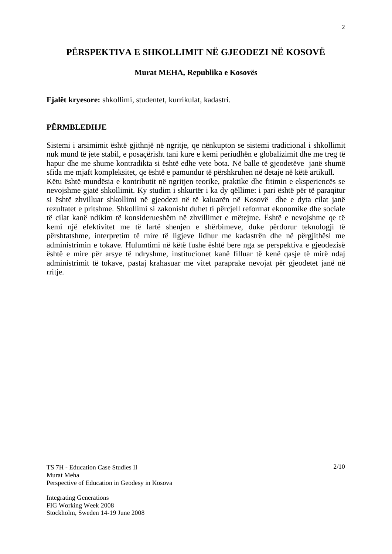# **PËRSPEKTIVA E SHKOLLIMIT NË GJEODEZI NË KOSOVË**

## **Murat MEHA, Republika e Kosovës**

**Fjalët kryesore:** shkollimi, studentet, kurrikulat, kadastri.

## **PËRMBLEDHJE**

Sistemi i arsimimit është gjithnjë në ngritje, qe nënkupton se sistemi tradicional i shkollimit nuk mund të jete stabil, e posaçërisht tani kure e kemi periudhën e globalizimit dhe me treg të hapur dhe me shume kontradikta si është edhe vete bota. Në balle të gjeodetëve janë shumë sfida me mjaft kompleksitet, qe është e pamundur të përshkruhen në detaje në këtë artikull. Këtu është mundësia e kontributit në ngritjen teorike, praktike dhe fitimin e eksperiencës se nevojshme gjatë shkollimit. Ky studim i shkurtër i ka dy qëllime: i pari është për të paraqitur si është zhvilluar shkollimi në gjeodezi në të kaluarën në Kosovë dhe e dyta cilat janë rezultatet e pritshme. Shkollimi si zakonisht duhet ti përcjell reformat ekonomike dhe sociale të cilat kanë ndikim të konsiderueshëm në zhvillimet e mëtejme. Është e nevojshme qe të kemi një efektivitet me të lartë shenjen e shërbimeve, duke përdorur teknologji të përshtatshme, interpretim të mire të ligjeve lidhur me kadastrën dhe në përgjithësi me administrimin e tokave. Hulumtimi në këtë fushe është bere nga se perspektiva e gjeodezisë është e mire për arsye të ndryshme, institucionet kanë filluar të kenë qasje të mirë ndaj administrimit të tokave, pastaj krahasuar me vitet paraprake nevojat për gjeodetet janë në rritje.

Integrating Generations FIG Working Week 2008 Stockholm, Sweden 14-19 June 2008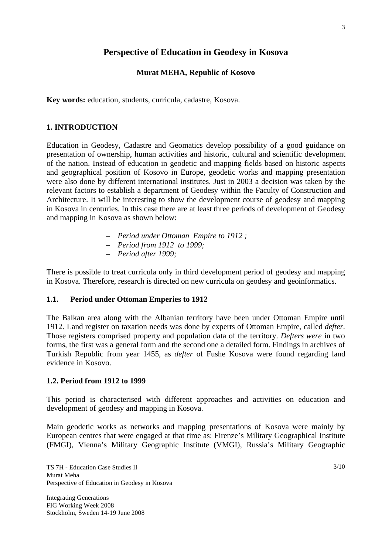## **Perspective of Education in Geodesy in Kosova**

## **Murat MEHA, Republic of Kosovo**

**Key words:** education, students, curricula, cadastre, Kosova.

#### **1. INTRODUCTION**

Education in Geodesy, Cadastre and Geomatics develop possibility of a good guidance on presentation of ownership, human activities and historic, cultural and scientific development of the nation. Instead of education in geodetic and mapping fields based on historic aspects and geographical position of Kosovo in Europe, geodetic works and mapping presentation were also done by different international institutes. Just in 2003 a decision was taken by the relevant factors to establish a department of Geodesy within the Faculty of Construction and Architecture. It will be interesting to show the development course of geodesy and mapping in Kosova in centuries. In this case there are at least three periods of development of Geodesy and mapping in Kosova as shown below:

- *Period under Ottoman Empire to 1912 ;*
- *Period from 1912 to 1999;*
- *Period after 1999;*

There is possible to treat curricula only in third development period of geodesy and mapping in Kosova. Therefore, research is directed on new curricula on geodesy and geoinformatics.

#### **1.1. Period under Ottoman Emperies to 1912**

The Balkan area along with the Albanian territory have been under Ottoman Empire until 1912. Land register on taxation needs was done by experts of Ottoman Empire, called *defter*. Those registers comprised property and population data of the territory. *Defters were* in two forms, the first was a general form and the second one a detailed form. Findings in archives of Turkish Republic from year 1455, as *defter* of Fushe Kosova were found regarding land evidence in Kosovo.

#### **1.2. Period from 1912 to 1999**

This period is characterised with different approaches and activities on education and development of geodesy and mapping in Kosova.

Main geodetic works as networks and mapping presentations of Kosova were mainly by European centres that were engaged at that time as: Firenze's Military Geographical Institute (FMGI), Vienna's Military Geographic Institute (VMGI), Russia's Military Geographic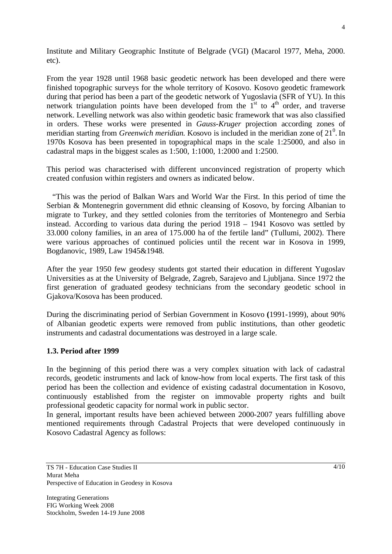Institute and Military Geographic Institute of Belgrade (VGI) (Macarol 1977, Meha, 2000. etc).

From the year 1928 until 1968 basic geodetic network has been developed and there were finished topographic surveys for the whole territory of Kosovo. Kosovo geodetic framework during that period has been a part of the geodetic network of Yugoslavia (SFR of YU). In this network triangulation points have been developed from the  $I<sup>st</sup>$  to  $4<sup>th</sup>$  order, and traverse network. Levelling network was also within geodetic basic framework that was also classified in orders. These works were presented in *Gauss-Kruger* projection according zones of meridian starting from *Greenwich meridian*. Kosovo is included in the meridian zone of 21<sup>0</sup>. In 1970s Kosova has been presented in topographical maps in the scale 1:25000, and also in cadastral maps in the biggest scales as 1:500, 1:1000, 1:2000 and 1:2500.

This period was characterised with different unconvinced registration of property which created confusion within registers and owners as indicated below.

 "This was the period of Balkan Wars and World War the First. In this period of time the Serbian & Montenegrin government did ethnic cleansing of Kosovo, by forcing Albanian to migrate to Turkey, and they settled colonies from the territories of Montenegro and Serbia instead. According to various data during the period 1918 – 1941 Kosovo was settled by 33.000 colony families, in an area of 175.000 ha of the fertile land" (Tullumi, 2002). There were various approaches of continued policies until the recent war in Kosova in 1999, Bogdanovic, 1989, Law 1945&1948.

After the year 1950 few geodesy students got started their education in different Yugoslav Universities as at the University of Belgrade, Zagreb, Sarajevo and Ljubljana. Since 1972 the first generation of graduated geodesy technicians from the secondary geodetic school in Gjakova/Kosova has been produced.

During the discriminating period of Serbian Government in Kosovo **(**1991-1999), about 90% of Albanian geodetic experts were removed from public institutions, than other geodetic instruments and cadastral documentations was destroyed in a large scale.

#### **1.3. Period after 1999**

In the beginning of this period there was a very complex situation with lack of cadastral records, geodetic instruments and lack of know-how from local experts. The first task of this period has been the collection and evidence of existing cadastral documentation in Kosovo, continuously established from the register on immovable property rights and built professional geodetic capacity for normal work in public sector.

In general, important results have been achieved between 2000-2007 years fulfilling above mentioned requirements through Cadastral Projects that were developed continuously in Kosovo Cadastral Agency as follows: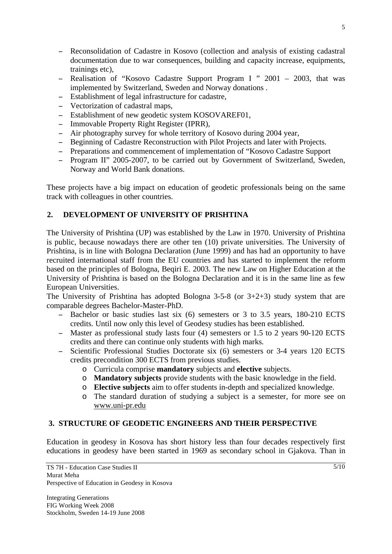- Reconsolidation of Cadastre in Kosovo (collection and analysis of existing cadastral documentation due to war consequences, building and capacity increase, equipments, trainings etc),
- Realisation of "Kosovo Cadastre Support Program I " 2001 2003, that was implemented by Switzerland, Sweden and Norway donations .
- Establishment of legal infrastructure for cadastre,
- Vectorization of cadastral maps,
- Establishment of new geodetic system KOSOVAREF01,
- Immovable Property Right Register (IPRR),
- Air photography survey for whole territory of Kosovo during 2004 year,
- Beginning of Cadastre Reconstruction with Pilot Projects and later with Projects.
- Preparations and commencement of implementation of "Kosovo Cadastre Support"
- Program II" 2005-2007, to be carried out by Government of Switzerland, Sweden, Norway and World Bank donations.

These projects have a big impact on education of geodetic professionals being on the same track with colleagues in other countries.

## **2. DEVELOPMENT OF UNIVERSITY OF PRISHTINA**

The University of Prishtina (UP) was established by the Law in 1970. University of Prishtina is public, because nowadays there are other ten (10) private universities. The University of Prishtina, is in line with Bologna Declaration (June 1999) and has had an opportunity to have recruited international staff from the EU countries and has started to implement the reform based on the principles of Bologna, Beqiri E. 2003. The new Law on Higher Education at the University of Prishtina is based on the Bologna Declaration and it is in the same line as few European Universities.

The University of Prishtina has adopted Bologna 3-5-8 (or 3+2+3) study system that are comparable degrees Bachelor-Master-PhD.

- Bachelor or basic studies last six (6) semesters or 3 to 3.5 years, 180-210 ECTS credits. Until now only this level of Geodesy studies has been established.
- Master as professional study lasts four (4) semesters or 1.5 to 2 years 90-120 ECTS credits and there can continue only students with high marks.
- Scientific Professional Studies Doctorate six (6) semesters or 3-4 years 120 ECTS credits precondition 300 ECTS from previous studies.
	- o Curricula comprise **mandatory** subjects and **elective** subjects.
	- o **Mandatory subjects** provide students with the basic knowledge in the field.
	- o **Elective subjects** aim to offer students in-depth and specialized knowledge.
	- o The standard duration of studying a subject is a semester, for more see on www.uni-pr.edu

## **3. STRUCTURE OF GEODETIC ENGINEERS AND THEIR PERSPECTIVE**

Education in geodesy in Kosova has short history less than four decades respectively first educations in geodesy have been started in 1969 as secondary school in Gjakova. Than in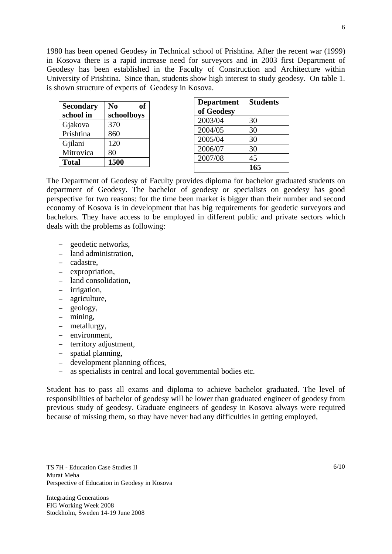1980 has been opened Geodesy in Technical school of Prishtina. After the recent war (1999) in Kosova there is a rapid increase need for surveyors and in 2003 first Department of Geodesy has been established in the Faculty of Construction and Architecture within University of Prishtina. Since than, students show high interest to study geodesy. On table 1. is shown structure of experts of Geodesy in Kosova.

| <b>Secondary</b> | $\bf No$<br>оf |
|------------------|----------------|
| school in        | schoolboys     |
| Gjakova          | 370            |
| Prishtina        | 860            |
| Gjilani          | 120            |
| Mitrovica        | 80             |
| <b>Total</b>     | 1500           |

| <b>Department</b><br>of Geodesy | <b>Students</b> |
|---------------------------------|-----------------|
| 2003/04                         | 30              |
| 2004/05                         | 30              |
| 2005/04                         | 30              |
| 2006/07                         | 30              |
| 2007/08                         | 45              |
|                                 | 165             |

The Department of Geodesy of Faculty provides diploma for bachelor graduated students on department of Geodesy. The bachelor of geodesy or specialists on geodesy has good perspective for two reasons: for the time been market is bigger than their number and second economy of Kosova is in development that has big requirements for geodetic surveyors and bachelors. They have access to be employed in different public and private sectors which deals with the problems as following:

- geodetic networks.
- land administration.
- cadastre,
- expropriation.
- land consolidation.
- irrigation,
- agriculture,
- geology,
- mining,
- metallurgy,
- environment.
- territory adjustment,
- spatial planning,
- development planning offices,
- as specialists in central and local governmental bodies etc.

Student has to pass all exams and diploma to achieve bachelor graduated. The level of responsibilities of bachelor of geodesy will be lower than graduated engineer of geodesy from previous study of geodesy. Graduate engineers of geodesy in Kosova always were required because of missing them, so thay have never had any difficulties in getting employed,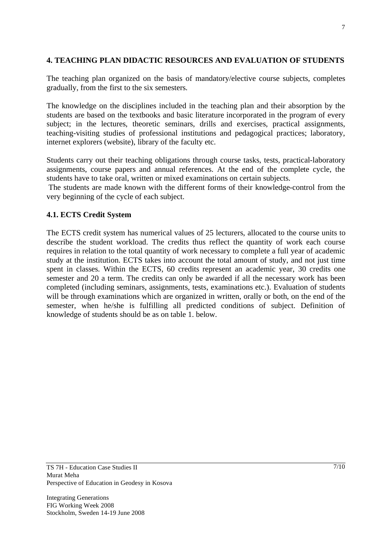#### **4. TEACHING PLAN DIDACTIC RESOURCES AND EVALUATION OF STUDENTS**

The teaching plan organized on the basis of mandatory/elective course subjects, completes gradually, from the first to the six semesters.

The knowledge on the disciplines included in the teaching plan and their absorption by the students are based on the textbooks and basic literature incorporated in the program of every subject; in the lectures, theoretic seminars, drills and exercises, practical assignments, teaching-visiting studies of professional institutions and pedagogical practices; laboratory, internet explorers (website), library of the faculty etc.

Students carry out their teaching obligations through course tasks, tests, practical-laboratory assignments, course papers and annual references. At the end of the complete cycle, the students have to take oral, written or mixed examinations on certain subjects.

 The students are made known with the different forms of their knowledge-control from the very beginning of the cycle of each subject.

## **4.1. ECTS Credit System**

The ECTS credit system has numerical values of 25 lecturers, allocated to the course units to describe the student workload. The credits thus reflect the quantity of work each course requires in relation to the total quantity of work necessary to complete a full year of academic study at the institution. ECTS takes into account the total amount of study, and not just time spent in classes. Within the ECTS, 60 credits represent an academic year, 30 credits one semester and 20 a term. The credits can only be awarded if all the necessary work has been completed (including seminars, assignments, tests, examinations etc.). Evaluation of students will be through examinations which are organized in written, orally or both, on the end of the semester, when he/she is fulfilling all predicted conditions of subject. Definition of knowledge of students should be as on table 1. below.

TS 7H - Education Case Studies II Murat Meha Perspective of Education in Geodesy in Kosova

Integrating Generations FIG Working Week 2008 Stockholm, Sweden 14-19 June 2008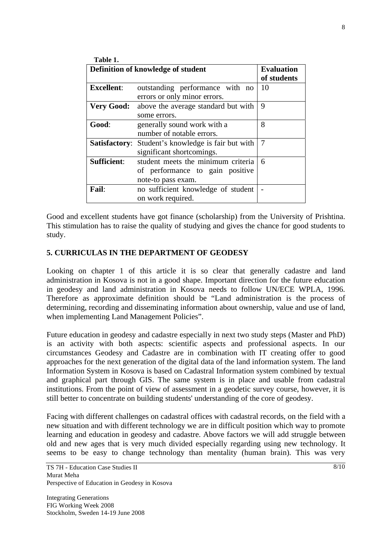| Table 1.                           |                                                                                             |                                  |
|------------------------------------|---------------------------------------------------------------------------------------------|----------------------------------|
| Definition of knowledge of student |                                                                                             | <b>Evaluation</b><br>of students |
| <b>Excellent:</b>                  | outstanding performance with no<br>errors or only minor errors.                             | 10                               |
| <b>Very Good:</b>                  | above the average standard but with<br>some errors.                                         | 9                                |
| Good:                              | generally sound work with a<br>number of notable errors.                                    | 8                                |
|                                    | <b>Satisfactory:</b> Student's knowledge is fair but with<br>significant shortcomings.      | 7                                |
| <b>Sufficient:</b>                 | student meets the minimum criteria<br>of performance to gain positive<br>note-to pass exam. | 6                                |
| Fail:                              | no sufficient knowledge of student<br>on work required.                                     |                                  |

Good and excellent students have got finance (scholarship) from the University of Prishtina. This stimulation has to raise the quality of studying and gives the chance for good students to study.

#### **5. CURRICULAS IN THE DEPARTMENT OF GEODESY**

Looking on chapter 1 of this article it is so clear that generally cadastre and land administration in Kosova is not in a good shape. Important direction for the future education in geodesy and land administration in Kosova needs to follow UN/ECE WPLA, 1996. Therefore as approximate definition should be "Land administration is the process of determining, recording and disseminating information about ownership, value and use of land, when implementing Land Management Policies".

Future education in geodesy and cadastre especially in next two study steps (Master and PhD) is an activity with both aspects: scientific aspects and professional aspects. In our circumstances Geodesy and Cadastre are in combination with IT creating offer to good approaches for the next generation of the digital data of the land information system. The land Information System in Kosova is based on Cadastral Information system combined by textual and graphical part through GIS. The same system is in place and usable from cadastral institutions. From the point of view of assessment in a geodetic survey course, however, it is still better to concentrate on building students' understanding of the core of geodesy.

Facing with different challenges on cadastral offices with cadastral records, on the field with a new situation and with different technology we are in difficult position which way to promote learning and education in geodesy and cadastre. Above factors we will add struggle between old and new ages that is very much divided especially regarding using new technology. It seems to be easy to change technology than mentality (human brain). This was very

 $8/10$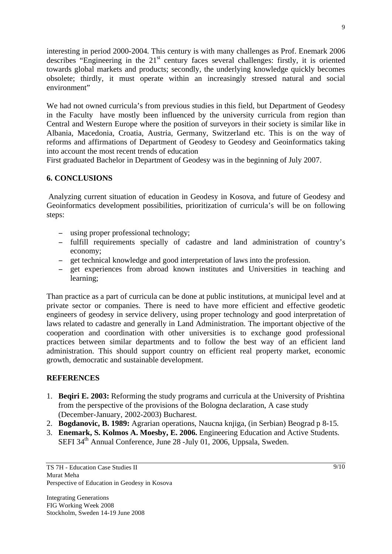interesting in period 2000-2004. This century is with many challenges as Prof. Enemark 2006 describes "Engineering in the  $21<sup>st</sup>$  century faces several challenges: firstly, it is oriented towards global markets and products; secondly, the underlying knowledge quickly becomes obsolete; thirdly, it must operate within an increasingly stressed natural and social environment"

We had not owned curricula's from previous studies in this field, but Department of Geodesy in the Faculty have mostly been influenced by the university curricula from region than Central and Western Europe where the position of surveyors in their society is similar like in Albania, Macedonia, Croatia, Austria, Germany, Switzerland etc. This is on the way of reforms and affirmations of Department of Geodesy to Geodesy and Geoinformatics taking into account the most recent trends of education

First graduated Bachelor in Department of Geodesy was in the beginning of July 2007.

## **6. CONCLUSIONS**

Analyzing current situation of education in Geodesy in Kosova, and future of Geodesy and Geoinformatics development possibilities, prioritization of curricula's will be on following steps:

- using proper professional technology;
- fulfill requirements specially of cadastre and land administration of country's economy;
- get technical knowledge and good interpretation of laws into the profession.
- get experiences from abroad known institutes and Universities in teaching and learning;

Than practice as a part of curricula can be done at public institutions, at municipal level and at private sector or companies. There is need to have more efficient and effective geodetic engineers of geodesy in service delivery, using proper technology and good interpretation of laws related to cadastre and generally in Land Administration. The important objective of the cooperation and coordination with other universities is to exchange good professional practices between similar departments and to follow the best way of an efficient land administration. This should support country on efficient real property market, economic growth, democratic and sustainable development.

## **REFERENCES**

- 1. **Beqiri E. 2003:** Reforming the study programs and curricula at the University of Prishtina from the perspective of the provisions of the Bologna declaration, A case study (December-January, 2002-2003) Bucharest.
- 2. **Bogdanovic, B. 1989:** Agrarian operations, Naucna knjiga, (in Serbian) Beograd p 8-15.
- 3. **Enemark, S. Kolmos A. Moesby, E. 2006.** Engineering Education and Active Students. SEFI 34<sup>th</sup> Annual Conference, June 28 -July 01, 2006, Uppsala, Sweden.